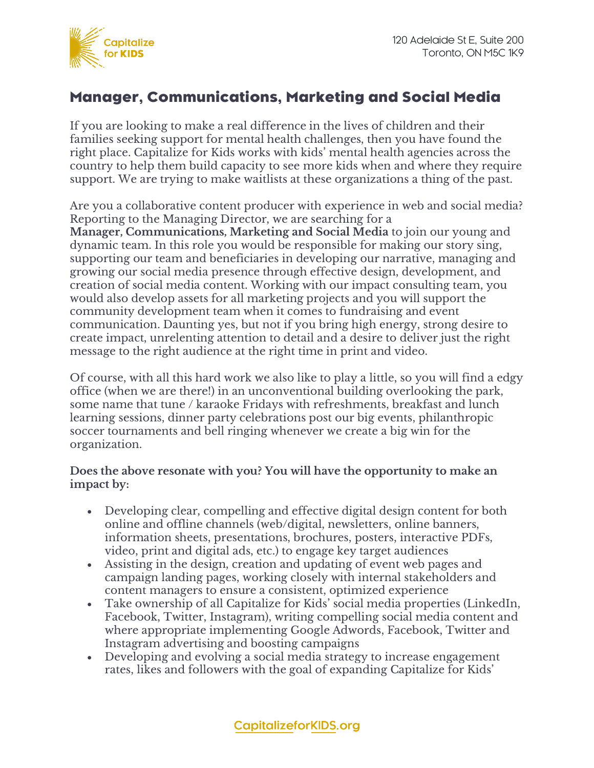

## Manager, Communications, Marketing and Social Media

If you are looking to make a real difference in the lives of children and their families seeking support for mental health challenges, then you have found the right place. Capitalize for Kids works with kids' mental health agencies across the country to help them build capacity to see more kids when and where they require support. We are trying to make waitlists at these organizations a thing of the past.

Are you a collaborative content producer with experience in web and social media? Reporting to the Managing Director, we are searching for a **Manager, Communications, Marketing and Social Media** to join our young and dynamic team. In this role you would be responsible for making our story sing, supporting our team and beneficiaries in developing our narrative, managing and growing our social media presence through effective design, development, and creation of social media content. Working with our impact consulting team, you would also develop assets for all marketing projects and you will support the community development team when it comes to fundraising and event communication. Daunting yes, but not if you bring high energy, strong desire to create impact, unrelenting attention to detail and a desire to deliver just the right message to the right audience at the right time in print and video.

Of course, with all this hard work we also like to play a little, so you will find a edgy office (when we are there!) in an unconventional building overlooking the park, some name that tune / karaoke Fridays with refreshments, breakfast and lunch learning sessions, dinner party celebrations post our big events, philanthropic soccer tournaments and bell ringing whenever we create a big win for the organization.

## **Does the above resonate with you? You will have the opportunity to make an impact by:**

- Developing clear, compelling and effective digital design content for both online and offline channels (web/digital, newsletters, online banners, information sheets, presentations, brochures, posters, interactive PDFs, video, print and digital ads, etc.) to engage key target audiences
- Assisting in the design, creation and updating of event web pages and campaign landing pages, working closely with internal stakeholders and content managers to ensure a consistent, optimized experience
- Take ownership of all Capitalize for Kids' social media properties (LinkedIn, Facebook, Twitter, Instagram), writing compelling social media content and where appropriate implementing Google Adwords, Facebook, Twitter and Instagram advertising and boosting campaigns
- Developing and evolving a social media strategy to increase engagement rates, likes and followers with the goal of expanding Capitalize for Kids'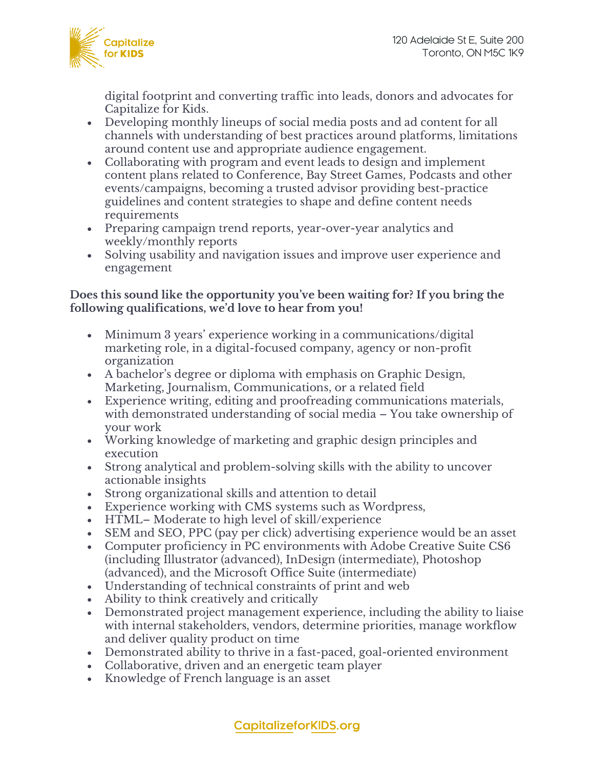

digital footprint and converting traffic into leads, donors and advocates for Capitalize for Kids.

- Developing monthly lineups of social media posts and ad content for all channels with understanding of best practices around platforms, limitations around content use and appropriate audience engagement.
- Collaborating with program and event leads to design and implement content plans related to Conference, Bay Street Games, Podcasts and other events/campaigns, becoming a trusted advisor providing best-practice guidelines and content strategies to shape and define content needs requirements
- Preparing campaign trend reports, year-over-year analytics and weekly/monthly reports
- Solving usability and navigation issues and improve user experience and engagement

## **Does this sound like the opportunity you've been waiting for? If you bring the following qualifications, we'd love to hear from you!**

- Minimum 3 years' experience working in a communications/digital marketing role, in a digital-focused company, agency or non-profit organization
- A bachelor's degree or diploma with emphasis on Graphic Design, Marketing, Journalism, Communications, or a related field
- Experience writing, editing and proofreading communications materials, with demonstrated understanding of social media – You take ownership of your work
- Working knowledge of marketing and graphic design principles and execution
- Strong analytical and problem-solving skills with the ability to uncover actionable insights
- Strong organizational skills and attention to detail
- Experience working with CMS systems such as Wordpress,
- HTML– Moderate to high level of skill/experience
- SEM and SEO, PPC (pay per click) advertising experience would be an asset
- Computer proficiency in PC environments with Adobe Creative Suite CS6 (including Illustrator (advanced), InDesign (intermediate), Photoshop (advanced), and the Microsoft Office Suite (intermediate)
- Understanding of technical constraints of print and web
- Ability to think creatively and critically
- Demonstrated project management experience, including the ability to liaise with internal stakeholders, vendors, determine priorities, manage workflow and deliver quality product on time
- Demonstrated ability to thrive in a fast-paced, goal-oriented environment
- Collaborative, driven and an energetic team player
- Knowledge of French language is an asset